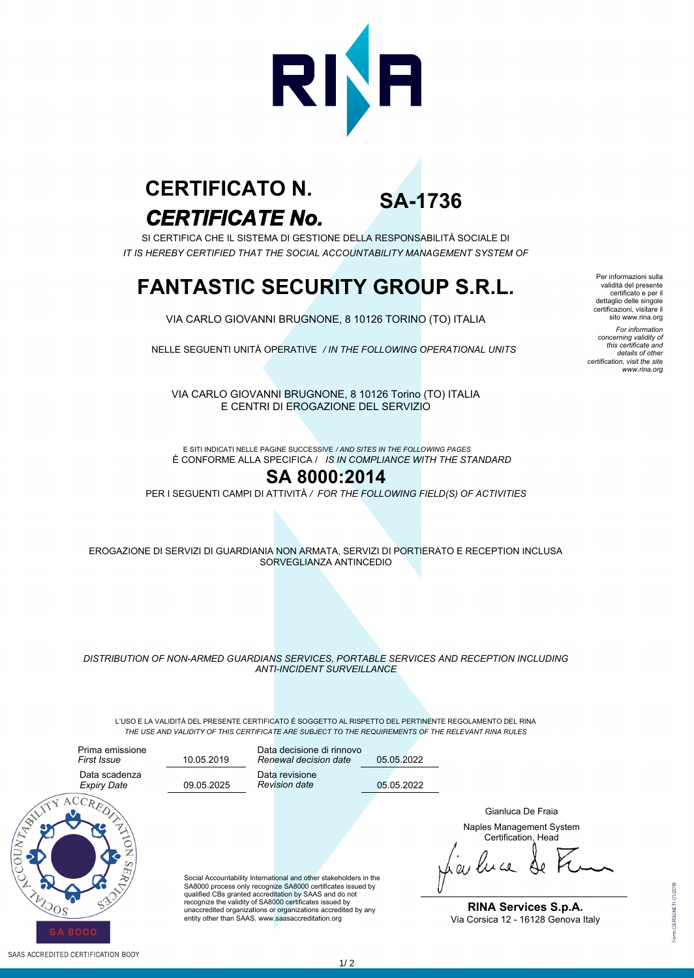

# *CERTIFICATE No.* **CERTIFICATO N.**

**SA-1736**

SI CERTIFICA CHE IL SISTEMA DI GESTIONE DELLA RESPONSABILITÀ SOCIALE DI *IT IS HEREBY CERTIFIED THAT THE SOCIAL ACCOUNTABILITY MANAGEMENT SYSTEM OF*

### **FANTASTIC SECURITY GROUP S.R.L.**

VIA CARLO GIOVANNI BRUGNONE, 8 10126 TORINO (TO) ITALIA

NELLE SEGUENTI UNITÀ OPERATIVE */ IN THE FOLLOWING OPERATIONAL UNITS*

VIA CARLO GIOVANNI BRUGNONE, 8 10126 Torino (TO) ITALIA E CENTRI DI EROGAZIONE DEL SERVIZIO

È CONFORME ALLA SPECIFICA / *IS IN COMPLIANCE WITH THE STANDARD* E SITI INDICATI NELLE PAGINE SUCCESSIVE */ AND SITES IN THE FOLLOWING PAGES*

#### **SA 8000:2014**

PER I SEGUENTI CAMPI DI ATTIVITÀ */ FOR THE FOLLOWING FIELD(S) OF ACTIVITIES*

EROGAZIONE DI SERVIZI DI GUARDIANIA NON ARMATA, SERVIZI DI PORTIERATO E RECEPTION INCLUSA SORVEGLIANZA ANTINCEDIO

*DISTRIBUTION OF NON-ARMED GUARDIANS SERVICES, PORTABLE SERVICES AND RECEPTION INCLUDING ANTI-INCIDENT SURVEILLANCE*

L'USO E LA VALIDITÀ DEL PRESENTE CERTIFICATO È SOGGETTO AL RISPETTO DEL PERTINENTE REGOLAMENTO DEL RINA *THE USE AND VALIDITY OF THIS CERTIFICATE ARE SUBJECT TO THE REQUIREMENTS OF THE RELEVANT RINA RULES*



Naples Management System Certification, Head Gianluca De Fraia

**RINA Services S.p.A.** Via Corsica 12 - 16128 Genova Italy

Per informazioni sulla validità del presente certificato e per il dettaglio delle singole certificazioni, visitare il sito www.rina.org *For information concerning validity of this certificate and details of other certification, visit the site www.rina.org*

 $1/2$